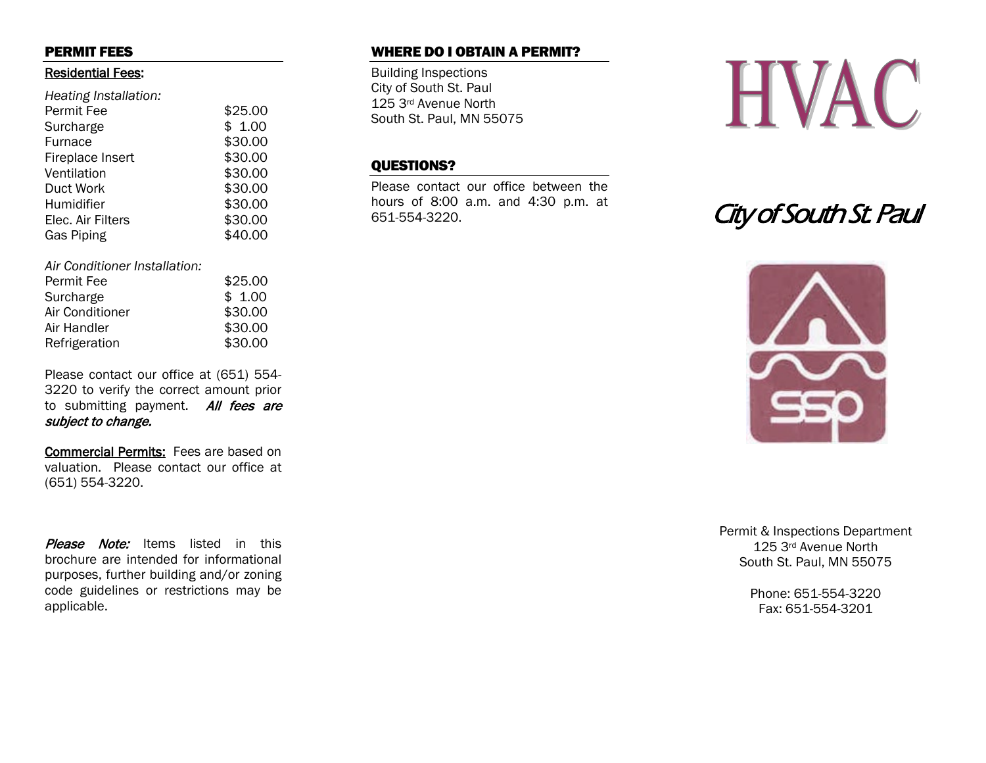## PERMIT FEES

#### Residential Fees:

#### *Heating Installation:*

| <b>Permit Fee</b> | \$25.00 |
|-------------------|---------|
| Surcharge         | \$1.00  |
| Furnace           | \$30.00 |
| Fireplace Insert  | \$30.00 |
| Ventilation       | \$30.00 |
| Duct Work         | \$30.00 |
| Humidifier        | \$30.00 |
| Elec. Air Filters | \$30.00 |
| Gas Piping        | \$40.00 |
|                   |         |

#### *Air Conditioner Installation:*

| Permit Fee      | \$25.00 |
|-----------------|---------|
| Surcharge       | \$1.00  |
| Air Conditioner | \$30.00 |
| Air Handler     | \$30.00 |
| Refrigeration   | \$30.00 |

Please contact our office at (651) 554- 3220 to verify the correct amount prior to submitting payment. All fees are subject to change.

Commercial Permits: Fees are based on valuation. Please contact our office at (651) 554-3220.

Please Note: Items listed in this brochure are intended for informational purposes, further building and/or zoning code guidelines or restrictions may be applicable.

# WHERE DO I OBTAIN A PERMIT?

Building Inspections City of South St. Paul 125 3rd Avenue North South St. Paul, MN 55075

### QUESTIONS?

Please contact our office between the hours of 8:00 a.m. and 4:30 p.m. at 651-554-3220.



# City of South St. Paul



Permit & Inspections Department 125 3rd Avenue North South St. Paul, MN 55075

> Phone: 651-554-3220 Fax: 651-554-3201